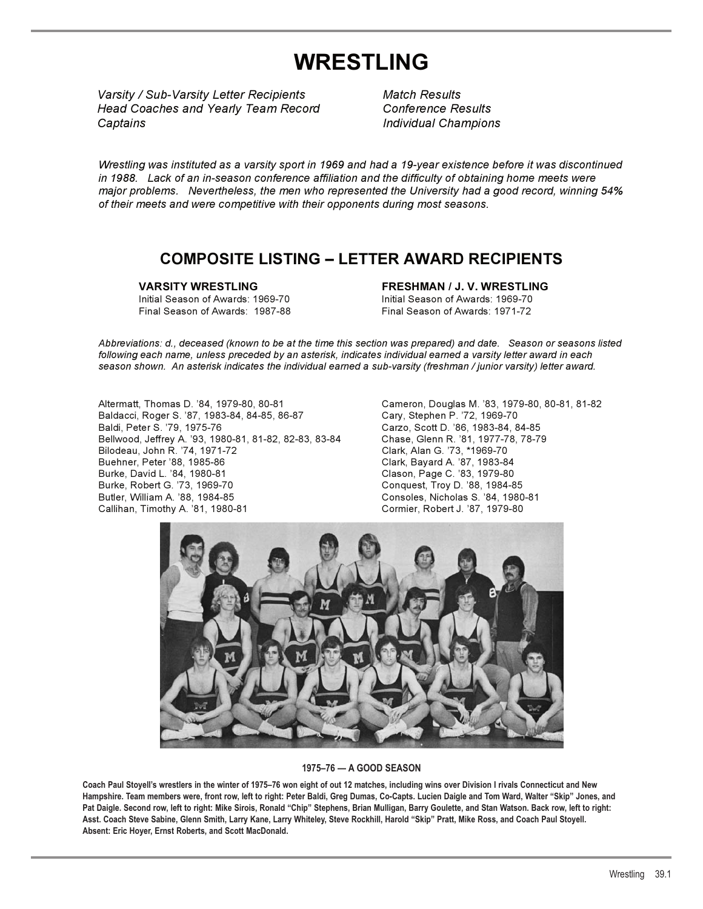# **WRESTLING**

*Varsity / Sub-Varsity Letter Recipients Match Results Varsity / Sub-Varsity Letter Recipients M Head Coaches and Yearly Team Record Conference Results Head Coaches and Yearly Team Record C Captains Individual Champions Individual ChampionsCaptains I*

*Match Results Conference Results*

*Wrestling was instituted as a varsity sport in 1969 and had a 19-year existence before it was discontinued in 1988. Lack of an in-season conference affiliation and the difficulty of obtaining home meets were major problems. Nevertheless, the men who represented the University had a good record, winning 54% of their meets and were competitive with their opponents during most seasons.*

### **COMPOSITE LISTING – LETTER AWARD RECIPIENTS**

Initial Season of Awards: 1969-70 Initial Season of Awards: 1969-70 Final Season of Awards: 1987-88

**VARSITY WRESTLING FRESHMAN / J. V. WRESTLING**

*Abbreviations: d., deceased (known to be at the time this section was prepared) and date. Season or seasons listed following each name, unless preceded by an asterisk, indicates individual earned a varsity letter award in each season shown. An asterisk indicates the individual earned a sub-varsity (freshman / junior varsity) letter award.*

Altermatt, Thomas D. '84, 1979-80, 80-81 Cameron, Douglas M. '83, 1979-80, 80-81, 81-82 Baldacci, Roger S. '87, 1983-84, 84-85, 86-87 Baldi, Peter S. '79, 1975-76 Carzo, Scott D. '86, 1983-84, 84-85 Bellwood, Jeffrey A. '93, 1980-81, 81-82, 82-83, 83-84 Chase, Glenn R. '81, 1977-78, 78-79 Bilodeau, John R. '74, 1971-72 Clark, Alan G. '73, \*1969-70 Buehner, Peter '88, 1985-86 Clark, Bayard A. '87, 1983-84 Burke, David L. '84, 1980-81 Clason, Page C. '83, 1979-80 Burke, Robert G. '73, 1969-70 Conquest, Troy D. '88, 1984-85 Butler, William A. '88, 1984-85 Consoles, Nicholas S. '84, 1980-81 Callihan, Timothy A. '81, 1980-81 Cormier, Robert J. '87, 1979-80



### **1975–76 — A GOOD SEASON**

**Coach Paul Stoyell's wrestlers in the winter of 1975–76 won eight of out 12 matches, including wins over Division I rivals Connecticut and New Hampshire. Team members were, front row, left to right: Peter Baldi, Greg Dumas, Co-Capts. Lucien Daigle and Tom Ward, Walter "Skip" Jones, and**  Pat Daigle. Second row, left to right: Mike Sirois, Ronald "Chip" Stephens, Brian Mulligan, Barry Goulette, and Stan Watson. Back row, left to right: **Asst. Coach Steve Sabine, Glenn Smith, Larry Kane, Larry Whiteley, Steve Rockhill, Harold "Skip" Pratt, Mike Ross, and Coach Paul Stoyell. Absent: Eric Hoyer, Ernst Roberts, and Scott MacDonald.**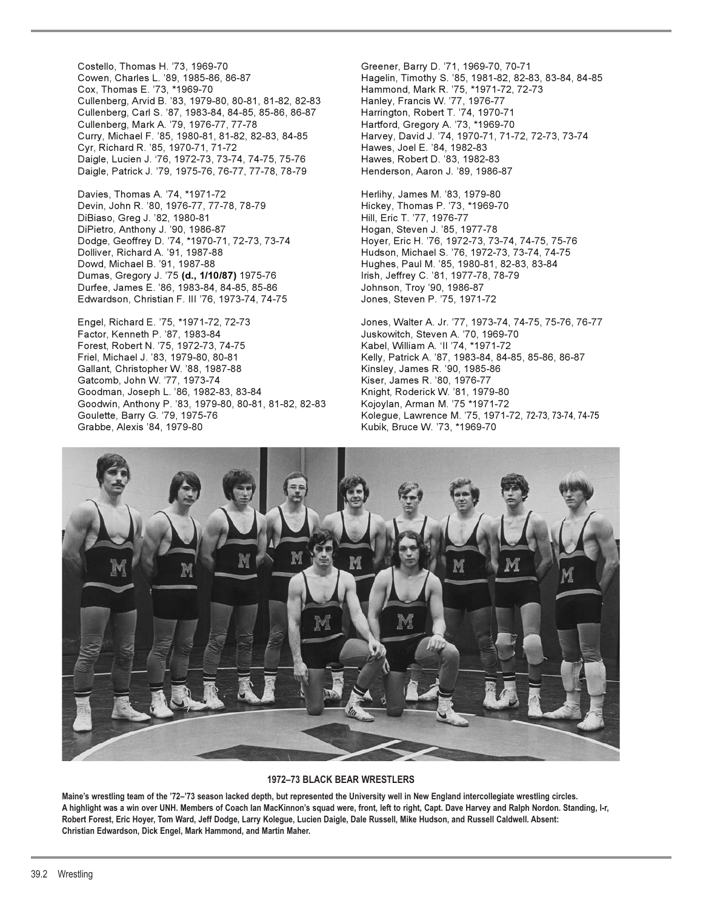Costello, Thomas H. '73, 1969-70 Greener, Barry D. '71, 1969-70, 70-71 Cullenberg, Arvid B. '83, 1979-80, 80-81, 81-82, 82-83 Hanley, Francis W. '77, 1976-77<br>Cullenberg, Carl S. '87, 1983-84, 84-85, 85-86, 86-87 Harrington, Robert T. '74, 1970-71 Cullenberg, Carl S. '87, 1983-84, 84-85, 85-86, 86-87 Cullenberg, Mark A. '79, 1976-77, 77-78 Hartford, Gregory A. '73, \*1969-70 Curry, Michael F. '85, 1980-81, 81-82, 82-83, 84-85 Harvey, David J. '74, 1970-71, 71-72, 72-73, 73-74 Cyr, Richard R. '85, 1970-71, 71-72 Hawes, Joel E. '84, 1982-83 Daigle, Lucien J. '76, 1972-73, 73-74, 74-75, 75-76 Hawes, Robert D. '83, 1982-83 Daigle, Patrick J. '79, 1975-76, 76-77, 77-78, 78-79 Henderson, Aaron J. '89, 1986-87

Davies, Thomas A. '74, \*1971-72 **heritary and Herlihy, James M. '83, 1979-80** Devin, John R. '80, 1976-77, 77-78, 78-79 Hickey, Thomas P. '73, \*1969-70 DiBiaso, Greg J. '82, 1980-81 Hill, Eric T. '77, 1976-77 DiPietro, Anthony J. '90, 1986-87 Hogan, Steven J. '85, 1977-78 Dowd, Michael B. '91, 1987-88 **Hughes, Paul M. '85, 1980-81, 82-83, 83-84** Dumas, Gregory J. '75 **(d., 1/10/87)** 1975-76 Irish, Jeffrey C. '81, 1977-78, 78-79 Durfee, James E. '86, 1983-84, 84-85, 85-86 Johnson, Troy '90, 1986-87 Edwardson, Christian F. III '76, 1973-74, 74-75 Jones, Steven P. '75, 1971-72

Engel, Richard E. '75, \*1971-72, 72-73 Jones, Walter A. Jr. '77, 1973-74, 74-75, 75-76, 76-77<br>Factor, Kenneth P. '87, 1983-84 Juskowitch, Steven A. '70, 1969-70 Factor, Kenneth P. '87, 1983-84 Forest, Robert N. '75, 1972-73, 74-75 Kabel, William A. 'II '74, \*1971-72 Friel, Michael J. '83, 1979-80, 80-81 Kelly, Patrick A. '87, 1983-84, 84-85, 85-86, 86-87 Gallant, Christopher W. '88, 1987-88 Kinsley, James R. '90, 1985-86 Gatcomb, John W. '77, 1973-74 Kiser, James R. '80, 1976-77 Goodman, Joseph L. '86, 1982-83, 83-84 Knight, Roderick W. '81, 1979-80<br>Goodwin, Anthony P. '83, 1979-80, 80-81, 81-82, 82-83 Kojoylan, Arman M. '75 \*1971-72 Goodwin, Anthony P. '83, 1979-80, 80-81, 81-82, 82-83 Goulette, Barry G. '79, 1975-76 Kolegue, Lawrence M. '75, 1971-72, 72-73, 73-74, 74-75 Grabbe, Alexis '84, 1979-80 **Kubik, Bruce W. '73, \*1969-70** 

Cowen, Charles L. '89, 1985-86, 86-87 Hagelin, Timothy S. '85, 1981-82, 82-83, 83-84, 84-85 Hammond, Mark R. '75, \*1971-72, 72-73

Dodge, Geoffrey D. '74, \*1970-71, 72-73, 73-74 Hoyer, Eric H. '76, 1972-73, 73-74, 74-75, 75-76 Hudson, Michael S. '76, 1972-73, 73-74, 74-75



### **1972–73 BLACK BEAR WRESTLERS**

**Maine's wrestling team of the '72–'73 season lacked depth, but represented the University well in New England intercollegiate wrestling circles. A highlight was a win over UNH. Members of Coach Ian MacKinnon's squad were, front, left to right, Capt. Dave Harvey and Ralph Nordon. Standing, l-r, Robert Forest, Eric Hoyer, Tom Ward, Jeff Dodge, Larry Kolegue, Lucien Daigle, Dale Russell, Mike Hudson, and Russell Caldwell. Absent: Christian Edwardson, Dick Engel, Mark Hammond, and Martin Maher.**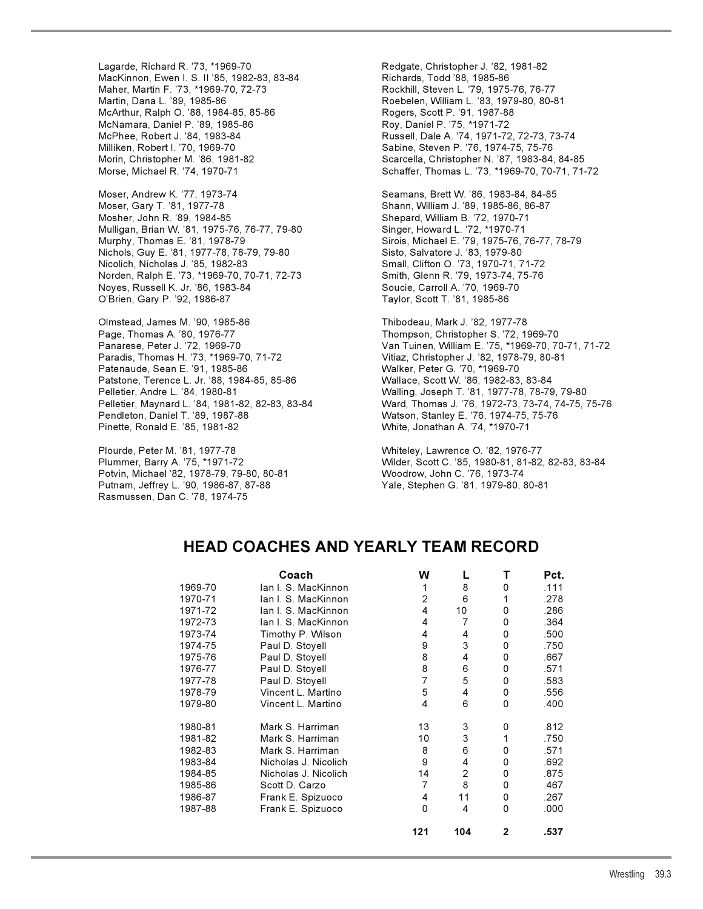Lagarde, Richard R. '73, \*1969-70 Redgate, Christopher J. '82, 1981-82 MacKinnon, Ewen I. S. II '85, 1982-83, 83-84 Richards, Todd '88, 1985-86<br>Maher, Martin F. '73, \*1969-70, 72-73 Rockhill, Steven L. '79, 1975 Martin, Dana L. '89, 1985-86 Roebelen, William L. '83, 1979-80, 80-81 McArthur, Ralph O. '88, 1984-85, 85-86 McNamara, Daniel P. '89, 1985-86 Roy, Daniel P. '75, \*1971-72 McPhee, Robert J. '84, 1983-84 Russell, Dale A. '74, 1971-72, 72-73, 73-74 Milliken, Robert I. '70, 1969-70 Sabine, Steven P. '76, 1974-75, 75-76

Moser, Andrew K. '77, 1973-74 Seamans, Brett W. '86, 1983-84, 84-85 Moser, Gary T. '81, 1977-78 Shann, William J. '89, 1985-86, 86-87 Mosher, John R. '89, 1984-85 Shepard, William B. '72, 1970-71 Mulligan, Brian W. '81, 1975-76, 76-77, 79-80 Singer, Howard L. '72, \*1970-71 Murphy, Thomas E. '81, 1978-79 Sirois, Michael E. '79, 1975-76, 76-77, 78-79 Nichols, Guy E. '81, 1977-78, 78-79, 79-80 Sisto, Salvatore J. '83, 1979-80 Nicolich, Nicholas J. '85, 1982-83 Small, Clifton O. '73, 1970-71, 71-72 Norden, Ralph E. '73, \*1969-70, 70-71, 72-73 Smith, Glenn R. '79, 1973-74, 75-76 Noyes, Russell K. Jr. '86, 1983-84 Soucie, Carroll A. '70, 1969-70 O'Brien, Gary P. '92, 1986-87 Taylor, Scott T. '81, 1985-86

Olmstead, James M. '90, 1985-86 Thibodeau, Mark J. '82, 1977-78 Paradis, Thomas H. '73, \*1969-70, 71-72 Vitiaz, Christopher J. '82, 1978-79, 80-81 Patenaude, Sean E. '91, 1985-86 Walker, Peter G. '70, \*1969-70 Patstone, Terence L. Jr. '88, 1984-85, 85-86 Wallace, Scott W. '86, 1982-83, 83-84 Pelletier, Andre L. '84, 1980-81 Walling, Joseph T. '81, 1977-78, 78-79, 79-80 Pinette, Ronald E. '85, 1981-82 White, Jonathan A. '74, \*1970-71

Plourde, Peter M. '81, 1977-78 Whiteley, Lawrence O. '82, 1976-77 Potvin, Michael '82, 1978-79, 79-80, 80-81 Putnam, Jeffrey L. '90, 1986-87, 87-88 Yale, Stephen G. '81, 1979-80, 80-81 Rasmussen, Dan C. '78, 1974-75

Rockhill, Steven L. '79, 1975-76, 76-77 Morin, Christopher M. '86, 1981-82 Scarcella, Christopher N. '87, 1983-84, 84-85 Morse, Michael R. '74, 1970-71 Schaffer, Thomas L. '73, \*1969-70, 70-71, 71-72

Thompson, Christopher S. '72, 1969-70 Panarese, Peter J. '72, 1969-70 Van Tuinen, William E. '75, \*1969-70, 70-71, 71-72 Pelletier, Maynard L. '84, 1981-82, 82-83, 83-84 Ward, Thomas J. '76, 1972-73, 73-74, 74-75, 75-76 Watson, Stanley E. '76, 1974-75, 75-76

Plummer, Barry A. '75, \*1971-72 Wilder, Scott C. '85, 1980-81, 81-82, 82-83, 83-84

### **HEAD COACHES AND YEARLY TEAM RECORD**

|         | Coach                | W        |                |              | Pct. |
|---------|----------------------|----------|----------------|--------------|------|
| 1969-70 | lan I. S. MacKinnon  |          | 8              | 0            | .111 |
| 1970-71 | lan I. S. MacKinnon  | 2        | 6              | 1            | .278 |
| 1971-72 | lan I. S. MacKinnon  | 4        | 10             | 0            | .286 |
| 1972-73 | lan I. S. MacKinnon  | 4        | 7              | 0            | .364 |
| 1973-74 | Timothy P. Wilson    | 4        | 4              | 0            | .500 |
| 1974-75 | Paul D. Stoyell      | 9        | 3              | 0            | .750 |
| 1975-76 | Paul D. Stoyell      | 8        | 4              | 0            | .667 |
| 1976-77 | Paul D. Stoyell      | 8        | 6              | 0            | .571 |
| 1977-78 | Paul D. Stoyell      | 7        | 5              | 0            | .583 |
| 1978-79 | Vincent L. Martino   | 5        | 4              | 0            | .556 |
| 1979-80 | Vincent L. Martino   | 4        | 6              | 0            | .400 |
| 1980-81 | Mark S. Harriman     | 13       | 3              | 0            | .812 |
| 1981-82 | Mark S. Harriman     | 10       | 3              | 1            | .750 |
| 1982-83 | Mark S. Harriman     | 8        | 6              | 0            | .571 |
| 1983-84 | Nicholas J. Nicolich | 9        | 4              | 0            | .692 |
| 1984-85 | Nicholas J. Nicolich | 14       | $\overline{2}$ | 0            | .875 |
| 1985-86 | Scott D. Carzo       | 7        | 8              | 0            | .467 |
| 1986-87 | Frank E. Spizuoco    | 4        | 11             | 0            | .267 |
| 1987-88 | Frank E. Spizuoco    | $\Omega$ | 4              | 0            | .000 |
|         |                      | 121      | 104            | $\mathbf{2}$ | .537 |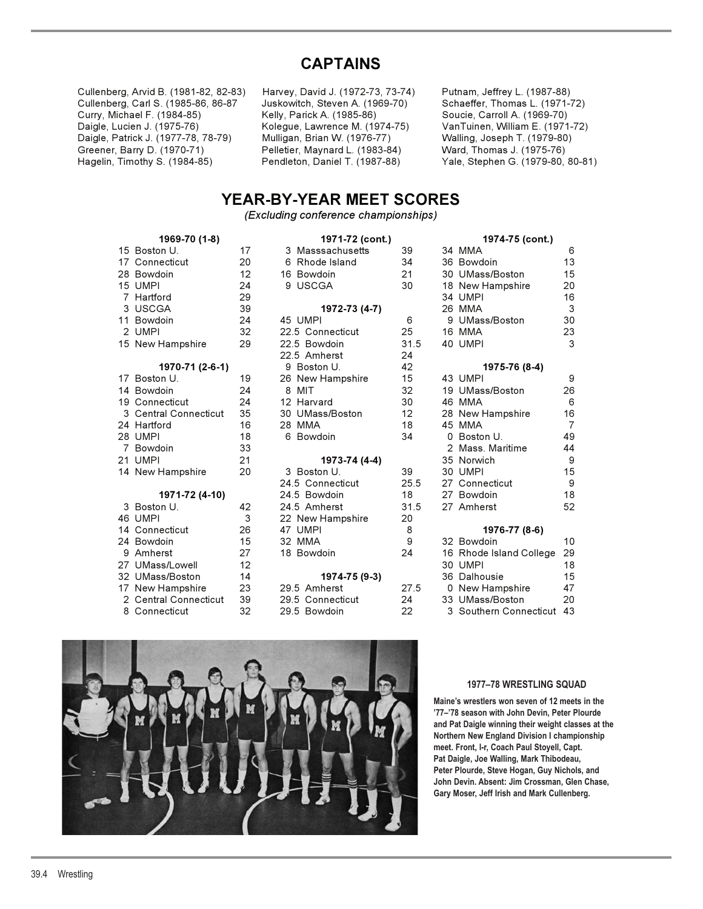## **CAPTAINS**

| Cullenberg, Arvid B. (1981-82, 82-83) | Harvey, David J. (1972-73, 73-74) | Putnam, Jeffrey L. (1987-88)    |
|---------------------------------------|-----------------------------------|---------------------------------|
| Cullenberg, Carl S. (1985-86, 86-87   | Juskowitch, Steven A. (1969-70)   | Schaeffer, Thomas L. (1971-72)  |
| Curry, Michael F. (1984-85)           | Kelly, Parick A. (1985-86)        | Soucie, Carroll A. (1969-70)    |
| Daigle, Lucien J. (1975-76)           | Kolegue, Lawrence M. (1974-75)    | VanTuinen, William E. (1971-72) |
| Daigle, Patrick J. (1977-78, 78-79)   | Mulligan, Brian W. (1976-77)      | Walling, Joseph T. (1979-80)    |
| Greener, Barry D. (1970-71)           | Pelletier, Maynard L. (1983-84)   | Ward, Thomas J. (1975-76)       |
| Hagelin, Timothy S. (1984-85)         | Pendleton, Daniel T. (1987-88)    | Yale, Stephen G. (1979-80, 80-8 |

## **YEAR-BY-YEAR MEET SCORES**

*(Excluding conference championships)* 

| 15<br>17<br>28<br>15<br>$\overline{7}$<br>3<br>11<br>$\overline{c}$<br>15 | Boston U.<br>Connecticut<br>Bowdoin<br><b>UMPI</b><br>Hartford<br><b>USCGA</b><br>Bowdoin<br><b>UMPI</b><br>New Hampshire | 1<br>2<br>$\overline{\mathbf{1}}$<br>N 69 N 69 N N |
|---------------------------------------------------------------------------|---------------------------------------------------------------------------------------------------------------------------|----------------------------------------------------|
|                                                                           | 1970-71 (2-6-1)                                                                                                           |                                                    |
| 17                                                                        | Boston U.                                                                                                                 | 1                                                  |
| 14                                                                        | Bowdoin                                                                                                                   |                                                    |
|                                                                           | 19 Connecticut<br>3 Central Connecticut                                                                                   |                                                    |
|                                                                           | 24 Hartford                                                                                                               | $\frac{2}{3}$ $\frac{2}{1}$                        |
|                                                                           | 28 UMPI                                                                                                                   |                                                    |
| $\overline{7}$                                                            | Bowdoin                                                                                                                   | $\frac{1}{2}$                                      |
| 21                                                                        | <b>UMPI</b>                                                                                                               |                                                    |
| 14                                                                        | New Hampshire                                                                                                             | 2                                                  |
|                                                                           | 1971-72 (4-10)                                                                                                            |                                                    |
| 3                                                                         | Boston U.                                                                                                                 | 4                                                  |
| 46                                                                        | <b>UMPI</b>                                                                                                               |                                                    |
|                                                                           | 14 Connecticut                                                                                                            | 2                                                  |
|                                                                           | 24 Bowdoin                                                                                                                | $\overline{\mathbf{1}}$                            |
| 9                                                                         | Amherst                                                                                                                   | 2                                                  |
|                                                                           | 27 UMass/Lowell                                                                                                           | $\overline{\mathbf{1}}$                            |
|                                                                           | 32 UMass/Boston<br>17 New Hampshire                                                                                       | $\overline{\mathbf{1}}$                            |
|                                                                           | 2 Central Connecticut                                                                                                     | ده<br>د                                            |
| 8                                                                         | Connecticut                                                                                                               | 3                                                  |
|                                                                           |                                                                                                                           |                                                    |

|  | 1969-70 (1-8)         |    | 1971-72 (cont.)  |                   | 1974-75 (cont.)           |                |
|--|-----------------------|----|------------------|-------------------|---------------------------|----------------|
|  | 15 Boston U.          | 17 | 3 Masssachusetts | 39                | 34 MMA                    | 6              |
|  | 17 Connecticut        | 20 | 6 Rhode Island   | 34                | 36 Bowdoin                | 13             |
|  | 28 Bowdoin            | 12 | 16 Bowdoin       | 21                | 30 UMass/Boston           | 15             |
|  | 15 UMPI               | 24 | 9 USCGA          | 30                | 18 New Hampshire          | 20             |
|  | 7 Hartford            | 29 |                  |                   | 34 UMPI                   | 16             |
|  | 3 USCGA               | 39 | 1972-73 (4-7)    |                   | 26 MMA                    | 3              |
|  | 11 Bowdoin            | 24 | 45 UMPI          | 6                 | 9 UMass/Boston            | 30             |
|  | 2 UMPI                | 32 | 22.5 Connecticut | 25                | 16 MMA                    | 23             |
|  | 15 New Hampshire      | 29 | 22.5 Bowdoin     | 31.5              | 40 UMPI                   | 3              |
|  |                       |    | 22.5 Amherst     | 24                |                           |                |
|  | 1970-71 (2-6-1)       |    | 9 Boston U.      | 42                | 1975-76 (8-4)             |                |
|  | 17 Boston U.          | 19 | 26 New Hampshire | 15                | 43 UMPI                   | 9              |
|  | 14 Bowdoin            | 24 | 8 MIT            | 32                | 19 UMass/Boston           | 26             |
|  | 19 Connecticut        | 24 | 12 Harvard       | 30                | 46 MMA                    | 6              |
|  | 3 Central Connecticut | 35 | 30 UMass/Boston  | $12 \overline{ }$ | 28 New Hampshire          | 16             |
|  | 24 Hartford           | 16 | 28 MMA           | 18                | 45 MMA                    | $\overline{7}$ |
|  | 28 UMPI               | 18 | 6 Bowdoin        | 34                | 0 Boston U.               | 49             |
|  | Bowdoin               | 33 |                  |                   | 2 Mass, Maritime          | 44             |
|  | 21 UMPI               | 21 | 1973-74 (4-4)    |                   | 35 Norwich                | 9              |
|  | 14 New Hampshire      | 20 | 3 Boston U.      | 39                | 30 UMPI                   | 15             |
|  |                       |    | 24.5 Connecticut | 25.5              | 27 Connecticut            | 9              |
|  | 1971-72 (4-10)        |    | 24.5 Bowdoin     | 18                | 27 Bowdoin                | 18             |
|  | 3 Boston U.           | 42 | 24.5 Amherst     | 31.5              | 27 Amherst                | 52             |
|  | 46 UMPI               | 3  | 22 New Hampshire | 20                |                           |                |
|  | 14 Connecticut        | 26 | 47 UMPI          | 8                 | 1976-77 (8-6)             |                |
|  | 24 Bowdoin            | 15 | 32 MMA           | 9                 | 32 Bowdoin                | 10             |
|  | 9 Amherst             | 27 | 18 Bowdoin       | 24                | 16 Rhode Island College   | 29             |
|  | 27 UMass/Lowell       | 12 |                  |                   | 30 UMPI                   | 18             |
|  | 32 UMass/Boston       | 14 | 1974-75 (9-3)    |                   | 36 Dalhousie              | 15             |
|  | 17 New Hampshire      | 23 | 29.5 Amherst     | 27.5              | 0 New Hampshire           | 47             |
|  | 2 Central Connecticut | 39 | 29.5 Connecticut | 24                | 33 UMass/Boston           | 20             |
|  | 8 Connecticut         | 32 | 29.5 Bowdoin     | 22                | 3 Southern Connecticut 43 |                |

| 1969-70 (1-8) |                       |    | 1971-72 (cont.)  |      |  | 1974-75 (cont.)         |                  |  |  |
|---------------|-----------------------|----|------------------|------|--|-------------------------|------------------|--|--|
|               | 15 Boston U.          | 17 | 3 Masssachusetts | 39   |  | 34 MMA                  | 6                |  |  |
|               | 17 Connecticut        | 20 | 6 Rhode Island   | 34   |  | 36 Bowdoin              | 13               |  |  |
|               | 28 Bowdoin            | 12 | 16 Bowdoin       | 21   |  | 30 UMass/Boston         | 15               |  |  |
|               | 15 UMPI               | 24 | 9 USCGA          | 30   |  | 18 New Hampshire        | 20               |  |  |
|               | 7 Hartford            | 29 |                  |      |  | 34 UMPI                 | 16               |  |  |
|               | 3 USCGA               | 39 | 1972-73 (4-7)    |      |  | 26 MMA                  | 3                |  |  |
|               | 11 Bowdoin            | 24 | 45 UMPI          | 6    |  | 9 UMass/Boston          | 30               |  |  |
|               | 2 UMPI                | 32 | 22.5 Connecticut | 25   |  | 16 MMA                  | 23               |  |  |
|               | 15 New Hampshire      | 29 | 22.5 Bowdoin     | 31.5 |  | 40 UMPI                 | 3                |  |  |
|               |                       |    | 22.5 Amherst     | 24   |  |                         |                  |  |  |
|               | 1970-71 (2-6-1)       |    | 9 Boston U.      | 42   |  | 1975-76 (8-4)           |                  |  |  |
|               | 17 Boston U.          | 19 | 26 New Hampshire | 15   |  | 43 UMPI                 | 9                |  |  |
|               | 14 Bowdoin            | 24 | 8 MIT            | 32   |  | 19 UMass/Boston         | 26               |  |  |
|               | 19 Connecticut        | 24 | 12 Harvard       | 30   |  | 46 MMA                  | 6                |  |  |
|               | 3 Central Connecticut | 35 | 30 UMass/Boston  | 12   |  | 28 New Hampshire        | 16               |  |  |
|               | 24 Hartford           | 16 | 28 MMA           | 18   |  | 45 MMA                  | $\overline{7}$   |  |  |
|               | 28 UMPI               | 18 | 6 Bowdoin        | 34   |  | 0 Boston U.             | 49               |  |  |
|               | 7 Bowdoin             | 33 |                  |      |  | 2 Mass, Maritime        | 44               |  |  |
|               | 21 UMPI               | 21 | 1973-74 (4-4)    |      |  | 35 Norwich              | 9                |  |  |
|               | 14 New Hampshire      | 20 | 3 Boston U.      | 39   |  | 30 UMPI                 | 15               |  |  |
|               |                       |    | 24.5 Connecticut | 25.5 |  | 27 Connecticut          | $\boldsymbol{9}$ |  |  |
|               | 1971-72 (4-10)        |    | 24.5 Bowdoin     | 18   |  | 27 Bowdoin              | 18               |  |  |
|               | 3 Boston U.           | 42 | 24.5 Amherst     | 31.5 |  | 27 Amherst              | 52               |  |  |
|               | 46 UMPI               | 3  | 22 New Hampshire | 20   |  |                         |                  |  |  |
|               | 14 Connecticut        | 26 | 47 UMPI          | 8    |  | 1976-77 (8-6)           |                  |  |  |
|               | 24 Bowdoin            | 15 | 32 MMA           | 9    |  | 32 Bowdoin              | 10               |  |  |
|               | 9 Amherst             | 27 | 18 Bowdoin       | 24   |  | 16 Rhode Island College | 29               |  |  |
|               | 27 UMass/Lowell       | 12 |                  |      |  | 30 UMPI                 | 18               |  |  |
|               | 32 UMass/Boston       | 14 | 1974-75 (9-3)    |      |  | 36 Dalhousie            | 15               |  |  |
|               | 17 New Hampshire      | 23 | 29.5 Amherst     | 27.5 |  | 0 New Hampshire         | 47               |  |  |
|               | 2 Central Connecticut | 39 | 29.5 Connecticut | 24   |  | 33 UMass/Boston         | 20               |  |  |
|               | 8 Connecticut         | 32 | 29.5 Bowdoin     | 22   |  | 3 Southern Connecticut  | 43               |  |  |



### **1977–78 WRESTLING SQUAD**

**Maine's wrestlers won seven of 12 meets in the '77–'78 season with John Devin, Peter Plourde and Pat Daigle winning their weight classes at the Northern New England Division I championship meet. Front, l-r, Coach Paul Stoyell, Capt. Pat Daigle, Joe Walling, Mark Thibodeau, Peter Plourde, Steve Hogan, Guy Nichols, and John Devin. Absent: Jim Crossman, Glen Chase, Gary Moser, Jeff Irish and Mark Cullenberg.**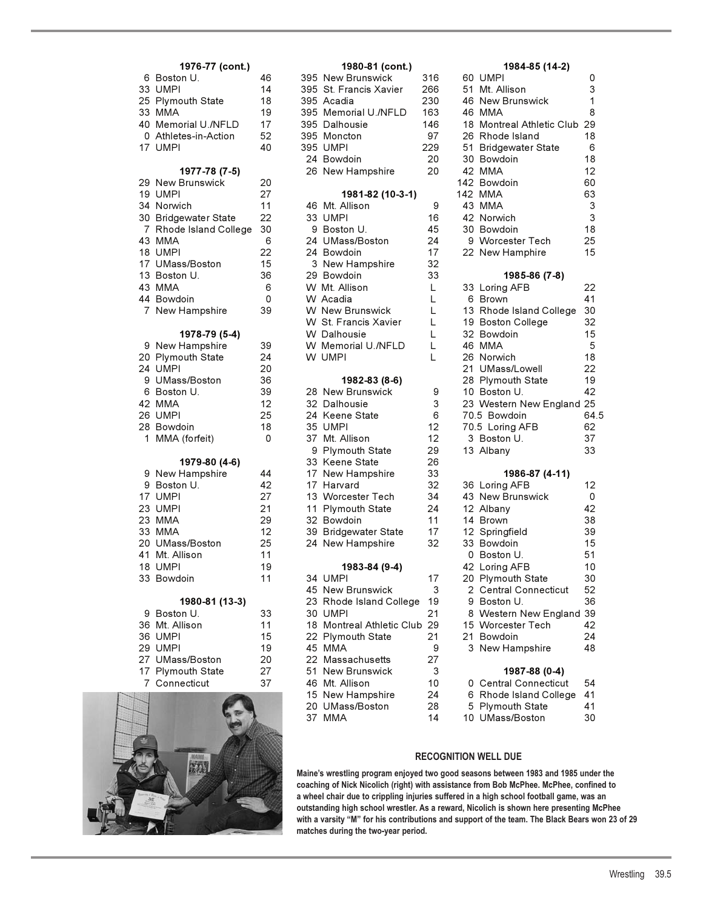|  | 1976-77 (cont.)                  |    |  | 1980-81 (cont.)                                |        | 1984-85 (14-2)                               |                 |  |
|--|----------------------------------|----|--|------------------------------------------------|--------|----------------------------------------------|-----------------|--|
|  | 6 Boston U.                      | 46 |  | 395 New Brunswick                              | 316    | 60 UMPI                                      | 0               |  |
|  | 33 UMPI                          | 14 |  | 395 St. Francis Xavier                         | 266    | 51 Mt. Allison                               | 3               |  |
|  | 25 Plymouth State                | 18 |  | 395 Acadia                                     | 230    | 46 New Brunswick                             | $\mathbf{1}$    |  |
|  | 33 MMA                           | 19 |  | 395 Memorial U./NFLD                           | 163    | 46 MMA                                       | 8               |  |
|  | 40 Memorial U./NFLD              | 17 |  | 395 Dalhousie                                  | 146    | 18 Montreal Athletic Club 29                 |                 |  |
|  | 0 Athletes-in-Action             | 52 |  | 395 Moncton                                    | 97     | 26 Rhode Island                              | 18              |  |
|  | 17 UMPI                          | 40 |  | 395 UMPI                                       | 229    | 51 Bridgewater State                         | 6               |  |
|  |                                  |    |  | 24 Bowdoin                                     | 20     | 30 Bowdoin                                   | 18              |  |
|  | 1977-78 (7-5)                    |    |  | 26 New Hampshire                               | 20     | 42 MMA                                       | 12 <sup>2</sup> |  |
|  | 29 New Brunswick                 | 20 |  |                                                |        | 142 Bowdoin                                  | 60              |  |
|  | 19 UMPI                          | 27 |  | 1981-82 (10-3-1)                               |        | 142 MMA                                      | 63              |  |
|  | 34 Norwich                       | 11 |  | 46 Mt. Allison                                 | 9      | 43 MMA                                       | 3               |  |
|  | 30 Bridgewater State             | 22 |  | 33 UMPI                                        | 16     | 42 Norwich                                   | 3               |  |
|  | 7 Rhode Island College           | 30 |  | 9 Boston U.                                    | 45     | 30 Bowdoin                                   | 18              |  |
|  | 43 MMA                           | 6  |  | 24 UMass/Boston                                | 24     | 9 Worcester Tech                             | 25              |  |
|  | 18 UMPI                          | 22 |  | 24 Bowdoin                                     | 17     | 22 New Hamphire                              | 15              |  |
|  | 17 UMass/Boston                  | 15 |  | 3 New Hampshire                                | 32     |                                              |                 |  |
|  | 13 Boston U.                     | 36 |  | 29 Bowdoin                                     | 33     | 1985-86 (7-8)                                |                 |  |
|  | 43 MMA                           | 6  |  | W Mt. Allison                                  | L      | 33 Loring AFB                                | 22<br>41        |  |
|  | 44 Bowdoin                       | 0  |  | W Acadia                                       | L      | 6 Brown                                      |                 |  |
|  | 7 New Hampshire                  | 39 |  | <b>W</b> New Brunswick<br>W St. Francis Xavier | L<br>L | 13 Rhode Island College<br>19 Boston College | 30<br>32        |  |
|  |                                  |    |  | W Dalhousie                                    |        | 32 Bowdoin                                   | 15              |  |
|  | 1978-79 (5-4)<br>9 New Hampshire | 39 |  | W Memorial U./NFLD                             | L<br>L | 46 MMA                                       | 5               |  |
|  | 20 Plymouth State                | 24 |  | W UMPI                                         | L      | 26 Norwich                                   | 18              |  |
|  | 24 UMPI                          | 20 |  |                                                |        | 21 UMass/Lowell                              | 22              |  |
|  | 9 UMass/Boston                   | 36 |  | 1982-83 (8-6)                                  |        | 28 Plymouth State                            | 19              |  |
|  | 6 Boston U.                      | 39 |  | 28 New Brunswick                               | 9      | 10 Boston U.                                 | 42              |  |
|  | 42 MMA                           | 12 |  | 32 Dalhousie                                   | 3      | 23 Western New England 25                    |                 |  |
|  | 26 UMPI                          | 25 |  | 24 Keene State                                 | 6      | 70.5 Bowdoin                                 | 64.             |  |
|  | 28 Bowdoin                       | 18 |  | 35 UMPI                                        | 12     | 70.5 Loring AFB                              | 62              |  |
|  | 1 MMA (forfeit)                  | 0  |  | 37 Mt. Allison                                 | 12     | 3 Boston U.                                  | 37              |  |
|  |                                  |    |  | 9 Plymouth State                               | 29     | 13 Albany                                    | 33              |  |
|  | 1979-80 (4-6)                    |    |  | 33 Keene State                                 | 26     |                                              |                 |  |
|  | 9 New Hampshire                  | 44 |  | 17 New Hampshire                               | 33     | 1986-87 (4-11)                               |                 |  |
|  | 9 Boston U.                      | 42 |  | 17 Harvard                                     | 32     | 36 Loring AFB                                | 12              |  |
|  | 17 UMPI                          | 27 |  | 13 Worcester Tech                              | 34     | 43 New Brunswick                             | 0               |  |
|  | 23 UMPI                          | 21 |  | 11 Plymouth State                              | 24     | 12 Albany                                    | 42              |  |
|  | 23 MMA                           | 29 |  | 32 Bowdoin                                     | 11     | 14 Brown                                     | 38              |  |
|  | 33 MMA                           | 12 |  | 39 Bridgewater State                           | 17     | 12 Springfield                               | 39              |  |
|  | 20 UMass/Boston                  | 25 |  | 24 New Hampshire                               | 32     | 33 Bowdoin                                   | 15              |  |
|  | 41 Mt. Allison                   | 11 |  |                                                |        | 0 Boston U.                                  | 51              |  |
|  | 18 UMPI                          | 19 |  | 1983-84 (9-4)                                  |        | 42 Loring AFB                                | 10              |  |
|  | 33 Bowdoin                       | 11 |  | 34 UMPI                                        | 17     | 20 Plymouth State                            | 30              |  |
|  |                                  |    |  | 45 New Brunswick                               | 3      | 2 Central Connecticut                        | 52              |  |
|  | 1980-81 (13-3)                   |    |  | 23 Rhode Island College                        | 19     | 9 Boston U.                                  | 36              |  |
|  | 9 Boston U.                      | 33 |  | 30 UMPI                                        | 21     | 8 Western New England 39                     |                 |  |
|  | 36 Mt. Allison                   | 11 |  | 18 Montreal Athletic Club 29                   |        | 15 Worcester Tech                            | 42              |  |
|  | 36 UMPI                          | 15 |  | 22 Plymouth State                              | 21     | 21 Bowdoin                                   | 24              |  |
|  | 29 UMPI                          | 19 |  | 45 MMA                                         | 9      | 3 New Hampshire                              | 48              |  |
|  | 27 UMass/Boston                  | 20 |  | 22 Massachusetts                               | 27     |                                              |                 |  |
|  | 17 Plymouth State                | 27 |  | 51 New Brunswick                               | 3      | 1987-88 (0-4)                                |                 |  |
|  | 7 Connecticut                    | 37 |  | 46 Mt. Allison                                 | 10     | 0 Central Connecticut                        | 54              |  |
|  |                                  |    |  | 15 New Hampshire                               | 24     | 6 Rhode Island College                       | 41              |  |



| n U.             | 46 | 395 New Brunswick            | 316 | 60 UMPI                      | 0  |
|------------------|----|------------------------------|-----|------------------------------|----|
|                  | 14 | 395 St. Francis Xavier       | 266 | 51 Mt. Allison               | 3  |
| วuth State       | 18 | 395 Acadia                   | 230 | 46 New Brunswick             | 1  |
|                  | 19 | 395 Memorial U./NFLD         | 163 | 46 MMA                       | 8  |
| orial U./NFLD    | 17 | 395 Dalhousie                | 146 | 18 Montreal Athletic Club 29 |    |
| tes-in-Action    | 52 | 395 Moncton                  | 97  | 26 Rhode Island              | 18 |
|                  | 40 | 395 UMPI                     | 229 | 51 Bridgewater State         | 6  |
|                  |    | 24 Bowdoin                   | 20  | 30 Bowdoin                   | 18 |
| 1977-78 (7-5)    |    | 26 New Hampshire             | 20  | 42 MMA                       | 12 |
| Brunswick        | 20 |                              |     | 142 Bowdoin                  | 60 |
|                  | 27 | 1981-82 (10-3-1)             |     | 142 MMA                      | 63 |
| ich              | 11 | 46 Mt. Allison               | 9   | 43 MMA                       | 3  |
| ewater State     | 22 | 33 UMPI                      | 16  | 42 Norwich                   | 3  |
| e Island College | 30 | 9 Boston U.                  | 45  | 30 Bowdoin                   | 18 |
|                  | 6  | 24 UMass/Boston              | 24  | 9 Worcester Tech             | 25 |
|                  | 22 | 24 Bowdoin                   | 17  | 22 New Hamphire              | 15 |
| ss/Boston        | 15 | 3 New Hampshire              | 32  |                              |    |
| n U.             | 36 | 29 Bowdoin                   | 33  | 1985-86 (7-8)                |    |
|                  | 6  | W Mt. Allison                | L.  | 33 Loring AFB                | 22 |
| loin             | 0  | W Acadia                     | L.  | 6 Brown                      | 41 |
| Hampshire        | 39 | <b>W</b> New Brunswick       | L   | 13 Rhode Island College      | 30 |
|                  |    | W St. Francis Xavier         | L   | 19 Boston College            | 32 |
| 1978-79 (5-4)    |    | W Dalhousie                  | L   | 32 Bowdoin                   | 15 |
| Hampshire        | 39 | W Memorial U./NFLD           | L   | 46 MMA                       | 5  |
| วuth State       | 24 | W UMPI                       | L   | 26 Norwich                   | 18 |
|                  | 20 |                              |     | 21 UMass/Lowell              | 22 |
| ss/Boston        | 36 | 1982-83 (8-6)                |     | 28 Plymouth State            | 19 |
| n U.             | 39 | 28 New Brunswick             | 9   | 10 Boston U.                 | 42 |
|                  | 12 | 32 Dalhousie                 | 3   | 23 Western New England 25    |    |
|                  | 25 | 24 Keene State               | 6   | 70.5 Bowdoin                 | 64 |
| loin             | 18 | 35 UMPI                      | 12  | 70.5 Loring AFB              | 62 |
| (forfeit)        | 0  | 37 Mt. Allison               | 12  | 3 Boston U.                  | 37 |
|                  |    | 9 Plymouth State             | 29  | 13 Albany                    | 33 |
| 1979-80 (4-6)    |    | 33 Keene State               | 26  |                              |    |
| Hampshire        | 44 | 17 New Hampshire             | 33  | 1986-87 (4-11)               |    |
| n U.             | 42 | 17 Harvard                   | 32  | 36 Loring AFB                | 12 |
|                  | 27 | 13 Worcester Tech            | 34  | 43 New Brunswick             | 0  |
|                  | 21 | 11 Plymouth State            | 24  | 12 Albany                    | 42 |
|                  | 29 | 32 Bowdoin                   | 11  | 14 Brown                     | 38 |
|                  | 12 | 39 Bridgewater State         | 17  | 12 Springfield               | 39 |
| ss/Boston        | 25 | 24 New Hampshire             | 32  | 33 Bowdoin                   | 15 |
| llison           | 11 |                              |     | 0 Boston U.                  | 51 |
|                  | 19 | 1983-84 (9-4)                |     | 42 Loring AFB                | 10 |
| loin             | 11 | 34 UMPI                      | 17  | 20 Plymouth State            | 30 |
|                  |    | 45 New Brunswick             | 3   | 2 Central Connecticut        | 52 |
| 1980-81 (13-3)   |    | 23 Rhode Island College      | 19  | 9 Boston U.                  | 36 |
| n U.             | 33 | 30 UMPI                      | 21  | 8 Western New England 39     |    |
| llison           | 11 | 18 Montreal Athletic Club 29 |     | 15 Worcester Tech            | 42 |
|                  | 15 | 22 Plymouth State            | 21  | 21 Bowdoin                   | 24 |
|                  | 19 | 45 MMA                       | 9   | 3 New Hampshire              | 48 |
| ss/Boston        | 20 | 22 Massachusetts             | 27  |                              |    |
| outh State       | 27 | 51 New Brunswick             | 3   | 1987-88 (0-4)                |    |
| ecticut          | 37 | 46 Mt. Allison               | 10  | 0 Central Connecticut        | 54 |
|                  |    | 15 New Hampshire             | 24  | 6 Rhode Island College       | 41 |
|                  |    | 20 UMass/Boston              | 28  | 5 Plymouth State             | 41 |
|                  |    | 37 MMA                       | 14  | 10 UMass/Boston              | 30 |
|                  |    |                              |     |                              |    |

| 1976-77 (cont.)           |          | 1980-81 (cont.)                    |                   | 1984-85 (14-2)                    |          |
|---------------------------|----------|------------------------------------|-------------------|-----------------------------------|----------|
| 6 Boston U.               | 46       | 395 New Brunswick                  | 316               | 60 UMPI                           | 0        |
| 33 UMPI                   | 14       | 395 St. Francis Xavier             | 266               | 51 Mt. Allison                    | 3        |
| 25 Plymouth State         | 18       | 395 Acadia                         | 230               | 46 New Brunswick                  | 1        |
| 33 MMA                    | 19       | 395 Memorial U./NFLD               | 163               | 46 MMA                            | 8        |
| 40 Memorial U./NFLD       | 17       | 395 Dalhousie                      | 146               | 18 Montreal Athletic Club 29      |          |
| 0 Athletes-in-Action      | 52       | 395 Moncton                        | 97                | 26 Rhode Island                   | 18       |
| 17 UMPI                   | 40       | 395 UMPI                           | 229               | 51 Bridgewater State              | 6        |
|                           |          | 24 Bowdoin                         | 20                | 30 Bowdoin                        | 18       |
| 1977-78 (7-5)             |          | 26 New Hampshire                   | 20                | 42 MMA                            | 12       |
| 29 New Brunswick          | 20<br>27 |                                    |                   | 142 Bowdoin                       | 60<br>63 |
| 19 UMPI<br>34 Norwich     | 11       | 1981-82 (10-3-1)<br>46 Mt. Allison | 9                 | 142 MMA<br>43 MMA                 | 3        |
| 30  Bridgewater State     | 22       | 33 UMPI                            | 16                | 42 Norwich                        | 3        |
| 7 Rhode Island College    | 30       | 9 Boston U.                        | 45                | 30 Bowdoin                        | 18       |
| 43 MMA                    | 6        | 24 UMass/Boston                    | 24                | 9 Worcester Tech                  | 25       |
| 18 UMPI                   | 22       | 24 Bowdoin                         | 17                | 22 New Hamphire                   | 15       |
| 17 UMass/Boston           | 15       | 3 New Hampshire                    | 32                |                                   |          |
| 13  Boston U.             | 36       | 29 Bowdoin                         | 33                | 1985-86 (7-8)                     |          |
| 43 MMA                    | 6        | W Mt. Allison                      | L                 | 33 Loring AFB                     | 22       |
| 44 Bowdoin                | 0        | W Acadia                           | L                 | 6 Brown                           | 41       |
| 7 New Hampshire           | 39       | <b>W</b> New Brunswick             | L                 | 13 Rhode Island College           | 30       |
|                           |          | W St. Francis Xavier               | L                 | 19 Boston College                 | 32       |
| 1978-79 (5-4)             |          | W Dalhousie                        | L                 | 32 Bowdoin                        | 15       |
| 9 New Hampshire           | 39       | W Memorial U./NFLD                 | Г                 | 46 MMA                            | 5        |
| 20 Plymouth State         | 24       | W UMPI                             | L                 | 26 Norwich                        | 18       |
| 24 UMPI<br>9 UMass/Boston | 20       |                                    |                   | 21 UMass/Lowell                   | 22<br>19 |
| 6 Boston U.               | 36<br>39 | 1982-83 (8-6)<br>28 New Brunswick  | 9                 | 28 Plymouth State<br>10 Boston U. | 42       |
| 42 MMA                    | 12       | 32 Dalhousie                       | 3                 | 23 Western New England 25         |          |
| 26 UMPI                   | 25       | 24 Keene State                     | 6                 | 70.5 Bowdoin                      | 64.5     |
| 28 Bowdoin                | 18       | 35 UMPI                            | $12 \overline{ }$ | 70.5 Loring AFB                   | 62       |
| 1 MMA (forfeit)           | 0        | 37 Mt. Allison                     | 12                | 3 Boston U.                       | 37       |
|                           |          | 9 Plymouth State                   | 29                | 13 Albany                         | 33       |
| 1979-80 (4-6)             |          | 33 Keene State                     | 26                |                                   |          |
| 9 New Hampshire           | 44       | 17 New Hampshire                   | 33                | 1986-87 (4-11)                    |          |
| 9 Boston U.               | 42       | 17 Harvard                         | 32                | 36 Loring AFB                     | 12       |
| 17 UMPI                   | 27       | 13 Worcester Tech                  | 34                | 43 New Brunswick                  | 0        |
| 23 UMPI                   | 21       | 11 Plymouth State                  | 24                | 12 Albany                         | 42       |
| 23 MMA                    | 29       | 32 Bowdoin                         | 11                | 14 Brown                          | 38       |
| 33 MMA                    | 12       | 39 Bridgewater State               | 17                | 12 Springfield                    | 39       |
| 20 UMass/Boston           | 25       | 24 New Hampshire                   | 32                | 33 Bowdoin                        | 15       |
| 41 Mt. Allison<br>18 UMPI | 11<br>19 |                                    |                   | 0 Boston U.<br>42 Loring AFB      | 51<br>10 |
| 33 Bowdoin                | 11       | 1983-84 (9-4)<br>34 UMPI           | 17                | 20 Plymouth State                 | 30       |
|                           |          | 45 New Brunswick                   | 3                 | 2 Central Connecticut             | 52       |
| 1980-81 (13-3)            |          | 23 Rhode Island College            | 19                | 9 Boston U.                       | 36       |
| 9 Boston U.               | 33       | 30 UMPI                            | 21                | 8 Western New England 39          |          |
| 36 Mt. Allison            | 11       | 18 Montreal Athletic Club 29       |                   | 15 Worcester Tech                 | 42       |
| 36 UMPI                   | 15       | 22 Plymouth State                  | 21                | 21 Bowdoin                        | 24       |
| 29 UMPI                   | 19       | 45 MMA                             | 9                 | 3 New Hampshire                   | 48       |
| 27 UMass/Boston           | 20       | 22 Massachusetts                   | 27                |                                   |          |
| 17 Plymouth State         | 27       | 51 New Brunswick                   | 3                 | 1987-88 (0-4)                     |          |
| 7 Connecticut             | 37       | 46 Mt. Allison                     | 10                | 0 Central Connecticut             | 54       |
|                           |          | 15 New Hampshire                   | 24                | 6 Rhode Island College            | 41       |
|                           |          | 20 UMass/Boston                    | 28                | 5 Plymouth State                  | 41       |
|                           |          | 37 MMA                             | 14                | 10 UMass/Boston                   | 30       |

### **RECOGNITION WELL DUE**

**Maine's wrestling program enjoyed two good seasons between 1983 and 1985 under the coaching of Nick Nicolich (right) with assistance from Bob McPhee. McPhee, confined to a wheel chair due to crippling injuries suffered in a high school football game, was an outstanding high school wrestler. As a reward, Nicolich is shown here presenting McPhee with a varsity "M" for his contributions and support of the team. The Black Bears won 23 of 29 matches during the two-year period.**